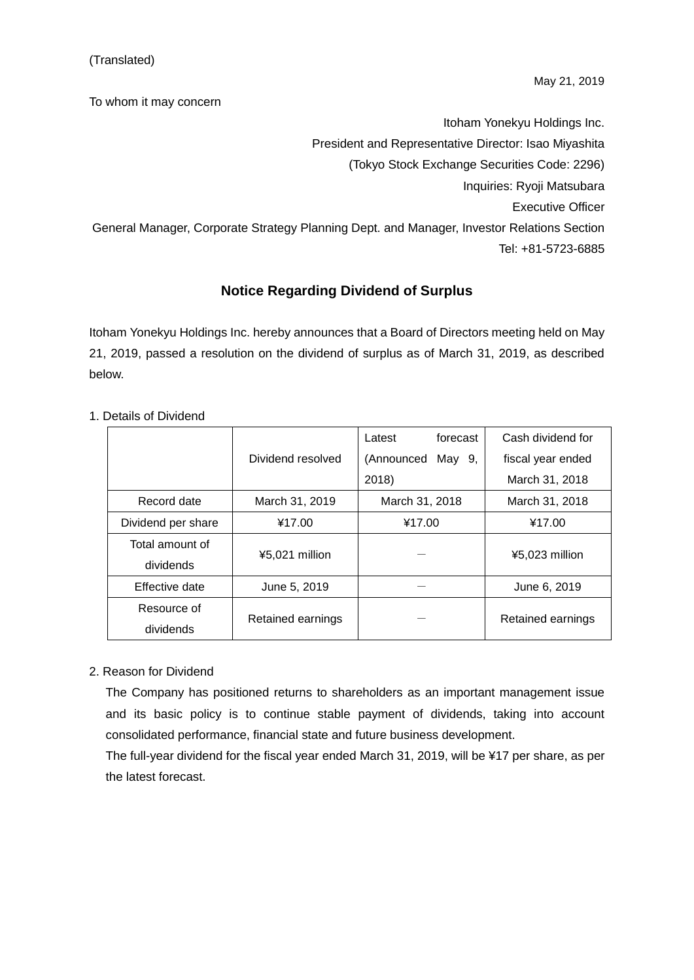To whom it may concern

Itoham Yonekyu Holdings Inc. President and Representative Director: Isao Miyashita (Tokyo Stock Exchange Securities Code: 2296) Inquiries: Ryoji Matsubara Executive Officer General Manager, Corporate Strategy Planning Dept. and Manager, Investor Relations Section Tel: +81-5723-6885

## **Notice Regarding Dividend of Surplus**

Itoham Yonekyu Holdings Inc. hereby announces that a Board of Directors meeting held on May 21, 2019, passed a resolution on the dividend of surplus as of March 31, 2019, as described below.

|                    |                   | forecast<br>Latest | Cash dividend for |
|--------------------|-------------------|--------------------|-------------------|
|                    | Dividend resolved | (Announced May 9,  | fiscal year ended |
|                    |                   | 2018)              | March 31, 2018    |
| Record date        | March 31, 2019    | March 31, 2018     | March 31, 2018    |
| Dividend per share | ¥17.00            | ¥17.00             | ¥17.00            |
| Total amount of    | ¥5,021 million    |                    | ¥5,023 million    |
| dividends          |                   |                    |                   |
| Effective date     | June 5, 2019      |                    | June 6, 2019      |
| Resource of        | Retained earnings |                    | Retained earnings |
| dividends          |                   |                    |                   |

1. Details of Dividend

## 2. Reason for Dividend

The Company has positioned returns to shareholders as an important management issue and its basic policy is to continue stable payment of dividends, taking into account consolidated performance, financial state and future business development.

The full-year dividend for the fiscal year ended March 31, 2019, will be ¥17 per share, as per the latest forecast.